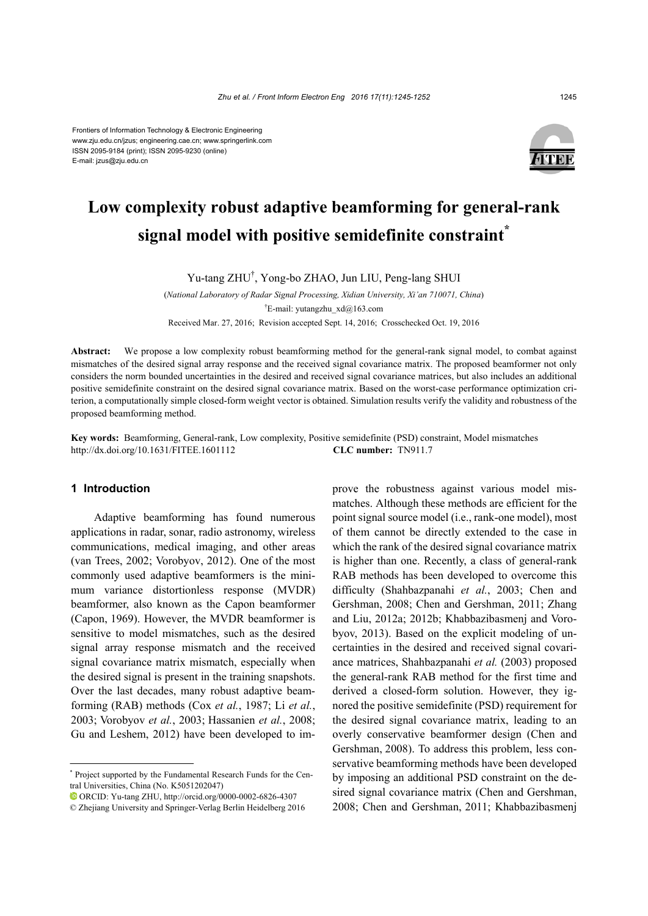#### Frontiers of Information Technology & Electronic Engineering www.zju.edu.cn/jzus; engineering.cae.cn; www.springerlink.com ISSN 2095-9184 (print); ISSN 2095-9230 (online) E-mail: jzus@zju.edu.cn



# **Low complexity robust adaptive beamforming for general-rank signal model with positive semidefinite constraint\***

Yu-tang ZHU† , Yong-bo ZHAO, Jun LIU, Peng-lang SHUI

(*National Laboratory of Radar Signal Processing, Xidian University, Xi'an 710071, China*) † E-mail: yutangzhu\_xd@163.com Received Mar. 27, 2016; Revision accepted Sept. 14, 2016; Crosschecked Oct. 19, 2016

**Abstract:** We propose a low complexity robust beamforming method for the general-rank signal model, to combat against mismatches of the desired signal array response and the received signal covariance matrix. The proposed beamformer not only considers the norm bounded uncertainties in the desired and received signal covariance matrices, but also includes an additional positive semidefinite constraint on the desired signal covariance matrix. Based on the worst-case performance optimization criterion, a computationally simple closed-form weight vector is obtained. Simulation results verify the validity and robustness of the proposed beamforming method.

**Key words:** Beamforming, General-rank, Low complexity, Positive semidefinite (PSD) constraint, Model mismatches http://dx.doi.org/10.1631/FITEE.1601112 **CLC number:** TN911.7

### **1 Introduction**

Adaptive beamforming has found numerous applications in radar, sonar, radio astronomy, wireless communications, medical imaging, and other areas (van Trees, 2002; Vorobyov, 2012). One of the most commonly used adaptive beamformers is the minimum variance distortionless response (MVDR) beamformer, also known as the Capon beamformer (Capon, 1969). However, the MVDR beamformer is sensitive to model mismatches, such as the desired signal array response mismatch and the received signal covariance matrix mismatch, especially when the desired signal is present in the training snapshots. Over the last decades, many robust adaptive beamforming (RAB) methods (Cox *et al.*, 1987; Li *et al.*, 2003; Vorobyov *et al.*, 2003; Hassanien *et al.*, 2008; Gu and Leshem, 2012) have been developed to improve the robustness against various model mismatches. Although these methods are efficient for the point signal source model (i.e., rank-one model), most of them cannot be directly extended to the case in which the rank of the desired signal covariance matrix is higher than one. Recently, a class of general-rank RAB methods has been developed to overcome this difficulty (Shahbazpanahi *et al.*, 2003; Chen and Gershman, 2008; Chen and Gershman, 2011; Zhang and Liu, 2012a; 2012b; Khabbazibasmenj and Vorobyov, 2013). Based on the explicit modeling of uncertainties in the desired and received signal covariance matrices, Shahbazpanahi *et al.* (2003) proposed the general-rank RAB method for the first time and derived a closed-form solution. However, they ignored the positive semidefinite (PSD) requirement for the desired signal covariance matrix, leading to an overly conservative beamformer design (Chen and Gershman, 2008). To address this problem, less conservative beamforming methods have been developed by imposing an additional PSD constraint on the desired signal covariance matrix (Chen and Gershman, 2008; Chen and Gershman, 2011; Khabbazibasmenj

<sup>\*</sup> Project supported by the Fundamental Research Funds for the Central Universities, China (No. K5051202047)

ORCID: Yu-tang ZHU, http://orcid.org/0000-0002-6826-4307

<sup>©</sup> Zhejiang University and Springer-Verlag Berlin Heidelberg 2016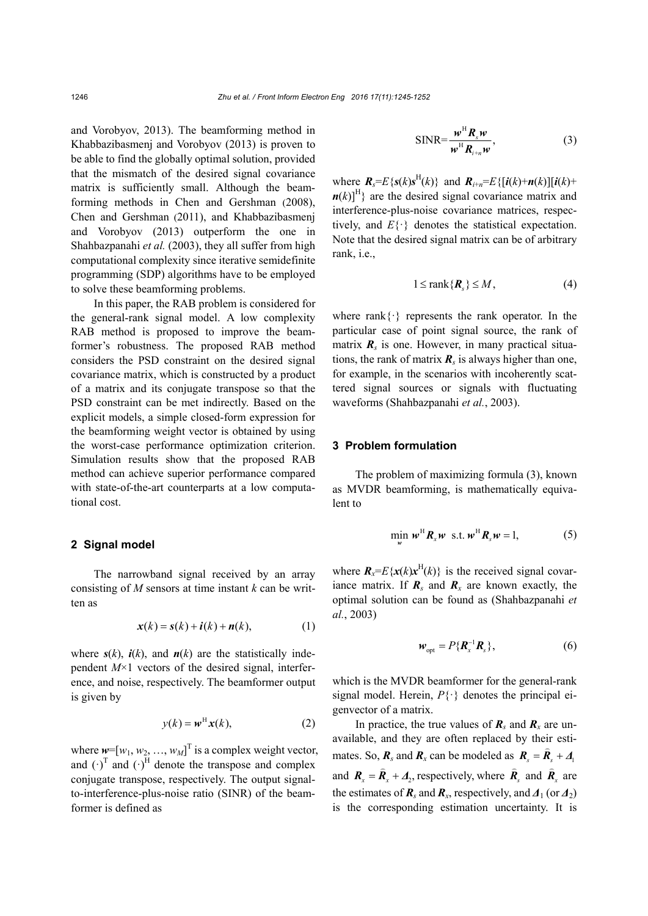and Vorobyov, 2013). The beamforming method in Khabbazibasmenj and Vorobyov (2013) is proven to be able to find the globally optimal solution, provided that the mismatch of the desired signal covariance matrix is sufficiently small. Although the beamforming methods in Chen and Gershman (2008), Chen and Gershman (2011), and Khabbazibasmenj and Vorobyov (2013) outperform the one in Shahbazpanahi *et al.* (2003), they all suffer from high computational complexity since iterative semidefinite programming (SDP) algorithms have to be employed to solve these beamforming problems.

In this paper, the RAB problem is considered for the general-rank signal model. A low complexity RAB method is proposed to improve the beamformer's robustness. The proposed RAB method considers the PSD constraint on the desired signal covariance matrix, which is constructed by a product of a matrix and its conjugate transpose so that the PSD constraint can be met indirectly. Based on the explicit models, a simple closed-form expression for the beamforming weight vector is obtained by using the worst-case performance optimization criterion. Simulation results show that the proposed RAB method can achieve superior performance compared with state-of-the-art counterparts at a low computational cost.

### **2 Signal model**

The narrowband signal received by an array consisting of *M* sensors at time instant *k* can be written as

$$
\mathbf{x}(k) = \mathbf{s}(k) + \mathbf{i}(k) + \mathbf{n}(k),\tag{1}
$$

where  $s(k)$ ,  $\dot{i}(k)$ , and  $n(k)$  are the statistically independent *M*×1 vectors of the desired signal, interference, and noise, respectively. The beamformer output is given by

$$
y(k) = \boldsymbol{w}^{\mathrm{H}} \boldsymbol{x}(k), \tag{2}
$$

where  $w=[w_1, w_2, ..., w_M]^T$  is a complex weight vector, and  $(\cdot)^T$  and  $(\cdot)^H$  denote the transpose and complex conjugate transpose, respectively. The output signalto-interference-plus-noise ratio (SINR) of the beamformer is defined as

$$
\text{SINR} = \frac{\boldsymbol{w}^{\text{H}} \boldsymbol{R}_{s} \boldsymbol{w}}{\boldsymbol{w}^{\text{H}} \boldsymbol{R}_{i+n} \boldsymbol{w}},\tag{3}
$$

where  $\mathbf{R}_s = E\{s(k)s^H(k)\}\$  and  $\mathbf{R}_{i+n} = E\{[\mathbf{i}(k)+\mathbf{n}(k)][\mathbf{i}(k)+\mathbf{n}(k)]\}$  $n(k)$ <sup>H</sup>} are the desired signal covariance matrix and interference-plus-noise covariance matrices, respectively, and *E*{·} denotes the statistical expectation. Note that the desired signal matrix can be of arbitrary rank, i.e.,

$$
1 \le \text{rank}\{\mathbf{R}_s\} \le M,\tag{4}
$$

where rank $\{\cdot\}$  represents the rank operator. In the particular case of point signal source, the rank of matrix  $\mathbf{R}_s$  is one. However, in many practical situations, the rank of matrix  $\mathbf{R}_s$  is always higher than one, for example, in the scenarios with incoherently scattered signal sources or signals with fluctuating waveforms (Shahbazpanahi *et al.*, 2003).

#### **3 Problem formulation**

The problem of maximizing formula (3), known as MVDR beamforming, is mathematically equivalent to

$$
\min_{\mathbf{w}} \mathbf{w}^{\mathrm{H}} \mathbf{R}_{x} \mathbf{w} \quad \text{s.t.} \quad \mathbf{w}^{\mathrm{H}} \mathbf{R}_{s} \mathbf{w} = 1, \tag{5}
$$

where  $\mathbf{R}_x = E\{x(k)x^H(k)\}\$ is the received signal covariance matrix. If  $\mathbf{R}_s$  and  $\mathbf{R}_x$  are known exactly, the optimal solution can be found as (Shahbazpanahi *et al.*, 2003)

$$
\mathbf{w}_{\rm opt} = P\{\mathbf{R}_x^{-1}\mathbf{R}_s\},\tag{6}
$$

which is the MVDR beamformer for the general-rank signal model. Herein,  $P\{\cdot\}$  denotes the principal eigenvector of a matrix.

In practice, the true values of  $\mathbf{R}_s$  and  $\mathbf{R}_x$  are unavailable, and they are often replaced by their estimates. So,  $\mathbf{R}_s$  and  $\mathbf{R}_x$  can be modeled as  $\mathbf{R}_s = \hat{\mathbf{R}}_s + \mathbf{A}_1$ and  $\mathbf{R}_x = \hat{\mathbf{R}}_x + \mathbf{\Lambda}_2$ , respectively, where  $\hat{\mathbf{R}}_s$  $\vec{R}_{s}$  and  $\vec{R}_{s}$  $\frac{1}{2}$  $\mathbf{R}_{r}$  are the estimates of  $\mathbf{R}_s$  and  $\mathbf{R}_x$ , respectively, and  $\mathbf{\Lambda}_1$  (or  $\mathbf{\Lambda}_2$ ) is the corresponding estimation uncertainty. It is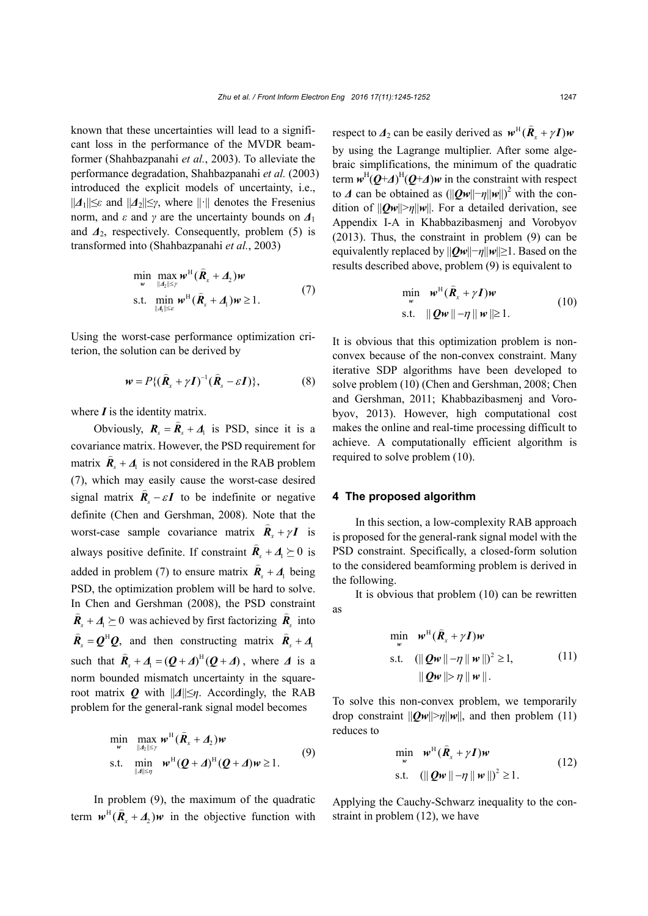known that these uncertainties will lead to a significant loss in the performance of the MVDR beamformer (Shahbazpanahi *et al.*, 2003). To alleviate the performance degradation, Shahbazpanahi *et al.* (2003) introduced the explicit models of uncertainty, i.e., ||*Δ*1||≤*ε* and ||*Δ*2||≤*γ*, where ||·|| denotes the Fresenius norm, and *ε* and *γ* are the uncertainty bounds on *Δ*<sup>1</sup> and *Δ*2, respectively. Consequently, problem (5) is transformed into (Shahbazpanahi *et al.*, 2003)

$$
\min_{\mathbf{w}} \max_{\|\mathbf{A}_2\| \leq \gamma} \mathbf{w}^{\mathrm{H}} (\hat{\mathbf{R}}_x + \mathbf{\Lambda}_2) \mathbf{w}
$$
\n
$$
\text{s.t. } \min_{\|\mathbf{A}\| \leq \varepsilon} \mathbf{w}^{\mathrm{H}} (\hat{\mathbf{R}}_s + \mathbf{\Lambda}_1) \mathbf{w} \geq 1. \tag{7}
$$

Using the worst-case performance optimization criterion, the solution can be derived by

$$
\mathbf{w} = P\{ (\hat{\mathbf{R}}_x + \gamma \mathbf{I})^{-1} (\hat{\mathbf{R}}_s - \varepsilon \mathbf{I}) \},\tag{8}
$$

where  $\boldsymbol{I}$  is the identity matrix.

Obviously,  $\mathbf{R}_s = \hat{\mathbf{R}}_s + \mathbf{A}_1$  is PSD, since it is a covariance matrix. However, the PSD requirement for  $\hat{E}$ matrix  $\mathbf{R}_s + \mathbf{\Lambda}_1$  is not considered in the RAB problem (7), which may easily cause the worst-case desired signal matrix  $\hat{\mathbf{R}}_s - \varepsilon \mathbf{I}$  to be indefinite or negative definite (Chen and Gershman, 2008). Note that the worst-case sample covariance matrix  $\hat{R}_x + \gamma I$  is always positive definite. If constraint  $\hat{\mathbf{R}}_s + \mathbf{\Lambda}_1 \succeq 0$  is added in problem (7) to ensure matrix  $\mathbf{R}_s + \mathbf{\Lambda}$ .<br>=  $\vec{R}_{\text{e}} + \vec{\Delta}_{\text{l}}$  being PSD, the optimization problem will be hard to solve. In Chen and Gershman (2008), the PSD constraint  $\hat{\textbf{R}}_s + \textbf{A}_l \succeq 0$  was achieved by first factorizing  $\hat{\textbf{R}}_s$  into  $\hat{\textbf{R}}_s = \textbf{Q}^H \textbf{Q}$ , and then constructing matrix  $\hat{\textbf{R}}_s + \textbf{A}_1$  $\overline{a}$  $\ddot{\bm{R}}_{\rm s} + \bm{\Delta}$ such that  $\hat{\mathbf{R}}_s + \mathbf{\Lambda}_1 = (\mathbf{Q} + \mathbf{\Lambda})^H (\mathbf{Q} + \mathbf{\Lambda})$ , where  $\mathbf{\Lambda}$  is a norm bounded mismatch uncertainty in the squareroot matrix *Q* with ||*Δ*||≤*η*. Accordingly, the RAB problem for the general-rank signal model becomes

$$
\min_{\mathbf{w}} \max_{\|\mathbf{A}\| \leq \gamma} \mathbf{w}^{\mathrm{H}} (\hat{\mathbf{R}}_{x} + \mathbf{\Lambda}_{2}) \mathbf{w}
$$
\ns.t. 
$$
\min_{\|\mathbf{A}\| \leq \gamma} \mathbf{w}^{\mathrm{H}} (\mathbf{Q} + \mathbf{\Lambda})^{\mathrm{H}} (\mathbf{Q} + \mathbf{\Lambda}) \mathbf{w} \geq 1.
$$
\n(9)

In problem (9), the maximum of the quadratic term  $w^H$   $(\hat{R}_x + \hat{A}_2)w$  in the objective function with respect to  $\Delta_2$  can be easily derived as  $w^H$  $(\hat{R}_x + \gamma I)w$ by using the Lagrange multiplier. After some algebraic simplifications, the minimum of the quadratic term  $w^H(Q+A)^H(Q+A)w$  in the constraint with respect to  $\Delta$  can be obtained as  $(||Qw|| - \eta ||w||)^2$  with the condition of  $||Qw|| > \eta ||w||$ . For a detailed derivation, see Appendix I-A in Khabbazibasmenj and Vorobyov (2013). Thus, the constraint in problem (9) can be equivalently replaced by ||*Qw*||−*η*||*w*||≥1. Based on the results described above, problem (9) is equivalent to

$$
\min_{\mathbf{w}} \quad \mathbf{w}^{\mathrm{H}}(\hat{\mathbf{R}}_{x} + \gamma \mathbf{I})\mathbf{w}
$$
\n
$$
\text{s.t.} \quad \|\mathbf{Q}\mathbf{w}\| - \eta \|\mathbf{w}\| \ge 1. \tag{10}
$$

It is obvious that this optimization problem is nonconvex because of the non-convex constraint. Many iterative SDP algorithms have been developed to solve problem (10) (Chen and Gershman, 2008; Chen and Gershman, 2011; Khabbazibasmenj and Vorobyov, 2013). However, high computational cost makes the online and real-time processing difficult to achieve. A computationally efficient algorithm is required to solve problem (10).

#### **4 The proposed algorithm**

In this section, a low-complexity RAB approach is proposed for the general-rank signal model with the PSD constraint. Specifically, a closed-form solution to the considered beamforming problem is derived in the following.

It is obvious that problem (10) can be rewritten as

$$
\min_{\mathbf{w}} \quad \mathbf{w}^{\mathrm{H}}(\hat{\mathbf{R}}_{x} + \gamma \mathbf{I})\mathbf{w}
$$
\n
$$
\text{s.t.} \quad (\|\mathbf{Q}\mathbf{w}\| - \eta \|\mathbf{w}\|)^{2} \ge 1, \tag{11}
$$
\n
$$
\|\mathbf{Q}\mathbf{w}\| > \eta \|\mathbf{w}\|.
$$

To solve this non-convex problem, we temporarily drop constraint  $||Qw|| > \eta ||w||$ , and then problem (11) reduces to

$$
\min_{\mathbf{w}} \quad \mathbf{w}^{\mathrm{H}}(\hat{\mathbf{R}}_{x} + \gamma \mathbf{I})\mathbf{w}
$$
\n
$$
\text{s.t.} \quad (\|\mathbf{Q}\mathbf{w}\| - \eta \|\mathbf{w}\|)^{2} \ge 1. \tag{12}
$$

Applying the Cauchy-Schwarz inequality to the constraint in problem (12), we have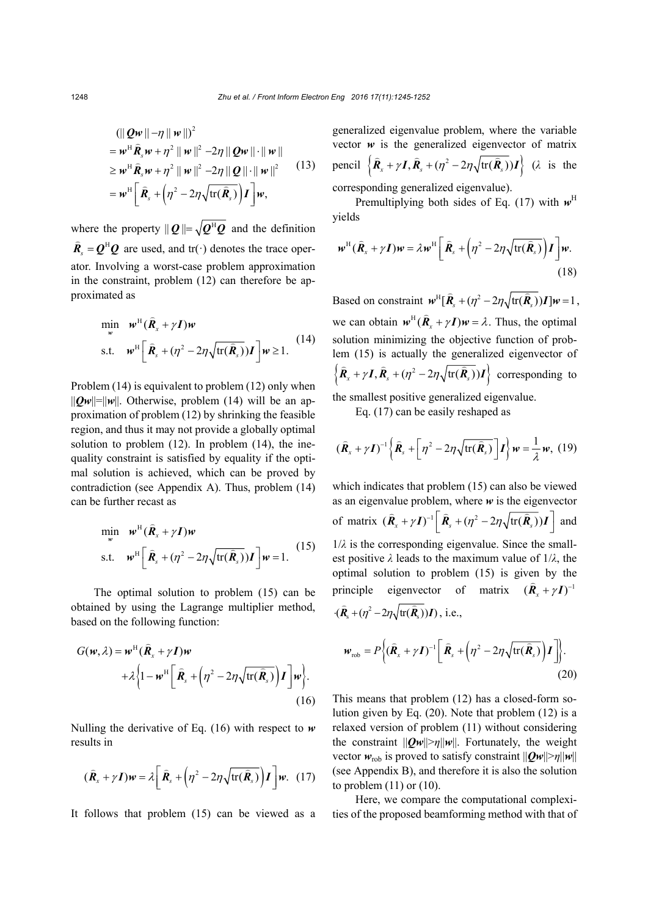$$
(\|\mathbf{Q}\mathbf{w}\|-\eta\|\mathbf{w}\|)^2
$$
  
=  $\mathbf{w}^H \hat{\mathbf{R}}_s \mathbf{w} + \eta^2 \|\mathbf{w}\|^2 - 2\eta \|\mathbf{Q}\mathbf{w}\| \cdot \|\mathbf{w}\|$   
\ge  $\mathbf{w}^H \hat{\mathbf{R}}_s \mathbf{w} + \eta^2 \|\mathbf{w}\|^2 - 2\eta \|\mathbf{Q}\| \cdot \|\mathbf{w}\|^2$  (13)  
=  $\mathbf{w}^H \Big[\hat{\mathbf{R}}_s + \Big(\eta^2 - 2\eta \sqrt{\text{tr}(\hat{\mathbf{R}}_s)}\Big) \mathbf{I}\Big] \mathbf{w},$ 

where the property  $||\mathbf{Q}|| = \sqrt{\mathbf{Q}^H \mathbf{Q}}$  and the definition  $\hat{\textbf{R}}_{s} = \mathbf{Q}^{\text{H}} \mathbf{Q}$  are used, and tr(·) denotes the trace operator. Involving a worst-case problem approximation in the constraint, problem (12) can therefore be approximated as

$$
\min_{w} \quad w^{\mathrm{H}}(\hat{\mathbf{R}}_{x} + \gamma \mathbf{I})w
$$
\n
$$
\text{s.t.} \quad w^{\mathrm{H}}\left[\hat{\mathbf{R}}_{s} + (\eta^{2} - 2\eta\sqrt{\mathrm{tr}(\hat{\mathbf{R}}_{s})})\mathbf{I}\right]w \ge 1. \tag{14}
$$

Problem (14) is equivalent to problem (12) only when  $||Qw||=||w||$ . Otherwise, problem (14) will be an approximation of problem (12) by shrinking the feasible region, and thus it may not provide a globally optimal solution to problem (12). In problem (14), the inequality constraint is satisfied by equality if the optimal solution is achieved, which can be proved by contradiction (see Appendix A). Thus, problem (14) can be further recast as

$$
\min_{w} w^{\text{H}} (\hat{\mathbf{R}}_{x} + \gamma \mathbf{I})w
$$
  
s.t.  $w^{\text{H}} [\hat{\mathbf{R}}_{s} + (\eta^{2} - 2\eta \sqrt{\text{tr}(\hat{\mathbf{R}}_{s})}) \mathbf{I}] w = 1.$  (15)

The optimal solution to problem (15) can be obtained by using the Lagrange multiplier method, based on the following function:

$$
G(\mathbf{w}, \lambda) = \mathbf{w}^{\mathrm{H}} (\hat{\mathbf{R}}_{x} + \gamma \mathbf{I}) \mathbf{w}
$$
  
+  $\lambda \left\{ 1 - \mathbf{w}^{\mathrm{H}} \left[ \hat{\mathbf{R}}_{s} + \left( \eta^{2} - 2\eta \sqrt{\mathrm{tr}(\hat{\mathbf{R}}_{s})} \right) \mathbf{I} \right] \mathbf{w} \right\}.$   
(16)

Nulling the derivative of Eq. (16) with respect to *w* results in

$$
(\hat{\boldsymbol{R}}_{x} + \gamma \boldsymbol{I})\boldsymbol{w} = \lambda \bigg[ \hat{\boldsymbol{R}}_{s} + \left( \eta^{2} - 2\eta \sqrt{\text{tr}(\hat{\boldsymbol{R}}_{s})} \right) \boldsymbol{I} \bigg] \boldsymbol{w}. \quad (17)
$$

It follows that problem (15) can be viewed as a

generalized eigenvalue problem, where the variable vector  $w$  is the generalized eigenvector of matrix pencil  $\left\{\hat{\boldsymbol{R}}_{x} + \gamma \boldsymbol{I}, \hat{\boldsymbol{R}}_{s} + (\eta^2 - 2\eta \sqrt{\text{tr}(\hat{\boldsymbol{R}}_{s})})\boldsymbol{I}\right\}$  ( $\lambda$  is the corresponding generalized eigenvalue).

Premultiplying both sides of Eq.  $(17)$  with  $w<sup>H</sup>$ 

yields

$$
\boldsymbol{w}^{\mathrm{H}}(\hat{\boldsymbol{R}}_{x} + \gamma \boldsymbol{I})\boldsymbol{w} = \lambda \boldsymbol{w}^{\mathrm{H}} \bigg[ \hat{\boldsymbol{R}}_{s} + \bigg( \eta^{2} - 2\eta \sqrt{\mathrm{tr}(\hat{\boldsymbol{R}}_{s})} \bigg) \boldsymbol{I} \bigg] \boldsymbol{w}. \tag{18}
$$

Based on constraint  $\mathbf{w}^H [\hat{\mathbf{R}}_{s} + (\eta^2 - 2\eta \sqrt{\text{tr}(\hat{\mathbf{R}}_{s})}) \mathbf{I}] \mathbf{w} = 1$ , we can obtain  $w^H$  $(\hat{R}_x + \gamma I)w = \lambda$ . Thus, the optimal solution minimizing the objective function of problem (15) is actually the generalized eigenvector of  $\left\{\hat{R}_x + \gamma I, \hat{R}_s + (\eta^2 - 2\eta \sqrt{\text{tr}(\hat{R}_s)})I\right\}$  corresponding to

the smallest positive generalized eigenvalue.

Eq. (17) can be easily reshaped as

$$
(\hat{\boldsymbol{R}}_{x} + \gamma \boldsymbol{I})^{-1} \left\{ \hat{\boldsymbol{R}}_{s} + \left[ \eta^{2} - 2\eta \sqrt{\text{tr}(\hat{\boldsymbol{R}}_{s})} \right] \boldsymbol{I} \right\} \boldsymbol{w} = \frac{1}{\lambda} \boldsymbol{w}, \ (19)
$$

which indicates that problem (15) can also be viewed as an eigenvalue problem, where *w* is the eigenvector of matrix  $( \hat{\mathbf{R}}_x + \gamma \mathbf{I})^{-1} \left[ \hat{\mathbf{R}}_s + ( \eta^2 - 2\eta \sqrt{\text{tr}( \hat{\mathbf{R}}_s)} ) \mathbf{I} \right]$  and  $1/\lambda$  is the corresponding eigenvalue. Since the smallest positive *λ* leads to the maximum value of 1/*λ*, the optimal solution to problem (15) is given by the principle eigenvector of matrix  $(\hat{\textbf{R}}_{x} + \gamma \textbf{I})^{-1}$  $\cdot$   $(\hat{R}_{s} + (\eta^2 - 2\eta\sqrt{\text{tr}(\hat{R}_{s})})I)$ , i.e.,

$$
\boldsymbol{w}_{\text{rob}} = P\bigg\{ (\widehat{\boldsymbol{R}}_{x} + \gamma \boldsymbol{I})^{-1} \bigg[ \widehat{\boldsymbol{R}}_{s} + \bigg( \eta^{2} - 2\eta \sqrt{\text{tr}(\widehat{\boldsymbol{R}}_{s})} \bigg) \boldsymbol{I} \bigg] \bigg\}.
$$
\n(20)

This means that problem (12) has a closed-form solution given by Eq. (20). Note that problem (12) is a relaxed version of problem (11) without considering the constraint  $||Qw|| > \eta ||w||$ . Fortunately, the weight vector  $w_{\text{rob}}$  is proved to satisfy constraint  $||Qw|| > \eta ||w||$ (see Appendix B), and therefore it is also the solution to problem  $(11)$  or  $(10)$ .

Here, we compare the computational complexities of the proposed beamforming method with that of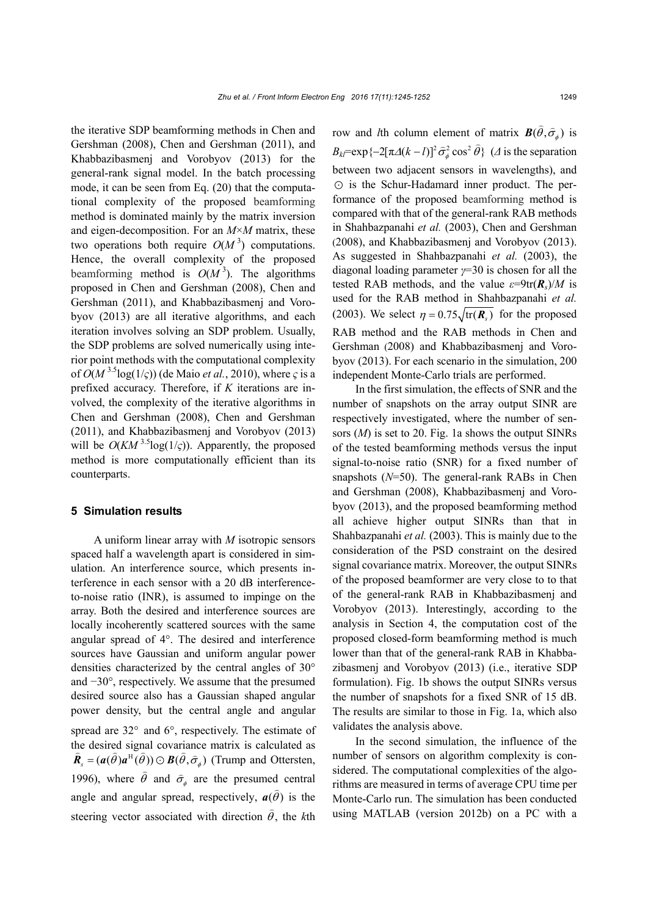the iterative SDP beamforming methods in Chen and Gershman (2008), Chen and Gershman (2011), and Khabbazibasmenj and Vorobyov (2013) for the general-rank signal model. In the batch processing mode, it can be seen from Eq. (20) that the computational complexity of the proposed beamforming method is dominated mainly by the matrix inversion and eigen-decomposition. For an *M*×*M* matrix, these two operations both require  $O(M^3)$  computations. Hence, the overall complexity of the proposed beamforming method is  $O(M^3)$ . The algorithms proposed in Chen and Gershman (2008), Chen and Gershman (2011), and Khabbazibasmenj and Vorobyov (2013) are all iterative algorithms, and each iteration involves solving an SDP problem. Usually, the SDP problems are solved numerically using interior point methods with the computational complexity of  $O(M^{3.5}\log(1/\varsigma))$  (de Maio *et al.*, 2010), where  $\varsigma$  is a prefixed accuracy. Therefore, if *K* iterations are involved, the complexity of the iterative algorithms in Chen and Gershman (2008), Chen and Gershman (2011), and Khabbazibasmenj and Vorobyov (2013) will be  $O(KM^{3.5}\log(1/\varsigma))$ . Apparently, the proposed method is more computationally efficient than its counterparts.

#### **5 Simulation results**

A uniform linear array with *M* isotropic sensors spaced half a wavelength apart is considered in simulation. An interference source, which presents interference in each sensor with a 20 dB interferenceto-noise ratio (INR), is assumed to impinge on the array. Both the desired and interference sources are locally incoherently scattered sources with the same angular spread of 4°. The desired and interference sources have Gaussian and uniform angular power densities characterized by the central angles of 30° and −30°, respectively. We assume that the presumed desired source also has a Gaussian shaped angular power density, but the central angle and angular spread are 32° and 6°, respectively. The estimate of the desired signal covariance matrix is calculated as  $\hat{\mathbf{R}}_s = (\mathbf{a}(\hat{\theta})\mathbf{a}^{\text{H}}(\hat{\theta})) \odot \mathbf{B}(\hat{\theta}, \hat{\sigma}_\phi)$  (Trump and Ottersten, 1996), where  $\theta$  $\frac{1}{2}$ and  $\hat{\sigma}_{\phi}$  are the presumed central angle and angular spread, respectively,  $\mathbf{a}(\hat{\theta})$  is the steering vector associated with direction  $\theta$ )<br>C , the *k*th

row and *l*th column element of matrix  $\mathbf{B}(\hat{\theta}, \hat{\sigma}_{\phi})$  is  $B_{kl}$ = exp{-2[ $\pi$ Δ( $k - l$ )]<sup>2</sup>  $\hat{\sigma}_{\phi}^2$  cos<sup>2</sup>  $\hat{\theta}$ } ( $\Delta$  is the separation between two adjacent sensors in wavelengths), and  $\odot$  is the Schur-Hadamard inner product. The performance of the proposed beamforming method is compared with that of the general-rank RAB methods in Shahbazpanahi *et al.* (2003), Chen and Gershman (2008), and Khabbazibasmenj and Vorobyov (2013). As suggested in Shahbazpanahi *et al.* (2003), the diagonal loading parameter *γ*=30 is chosen for all the tested RAB methods, and the value  $\varepsilon = 9 \text{tr}(\mathbf{R}_s)/M$  is used for the RAB method in Shahbazpanahi *et al.*  (2003). We select  $\eta = 0.75 \sqrt{\text{tr}(\boldsymbol{R}_s)}$  for the proposed RAB method and the RAB methods in Chen and Gershman (2008) and Khabbazibasmenj and Vorobyov (2013). For each scenario in the simulation, 200 independent Monte-Carlo trials are performed.

In the first simulation, the effects of SNR and the number of snapshots on the array output SINR are respectively investigated, where the number of sensors (*M*) is set to 20. Fig. 1a shows the output SINRs of the tested beamforming methods versus the input signal-to-noise ratio (SNR) for a fixed number of snapshots (*N*=50). The general-rank RABs in Chen and Gershman (2008), Khabbazibasmenj and Vorobyov (2013), and the proposed beamforming method all achieve higher output SINRs than that in Shahbazpanahi *et al.* (2003). This is mainly due to the consideration of the PSD constraint on the desired signal covariance matrix. Moreover, the output SINRs of the proposed beamformer are very close to to that of the general-rank RAB in Khabbazibasmenj and Vorobyov (2013). Interestingly, according to the analysis in Section 4, the computation cost of the proposed closed-form beamforming method is much lower than that of the general-rank RAB in Khabbazibasmenj and Vorobyov (2013) (i.e., iterative SDP formulation). Fig. 1b shows the output SINRs versus the number of snapshots for a fixed SNR of 15 dB. The results are similar to those in Fig. 1a, which also validates the analysis above.

In the second simulation, the influence of the number of sensors on algorithm complexity is considered. The computational complexities of the algorithms are measured in terms of average CPU time per Monte-Carlo run. The simulation has been conducted using MATLAB (version 2012b) on a PC with a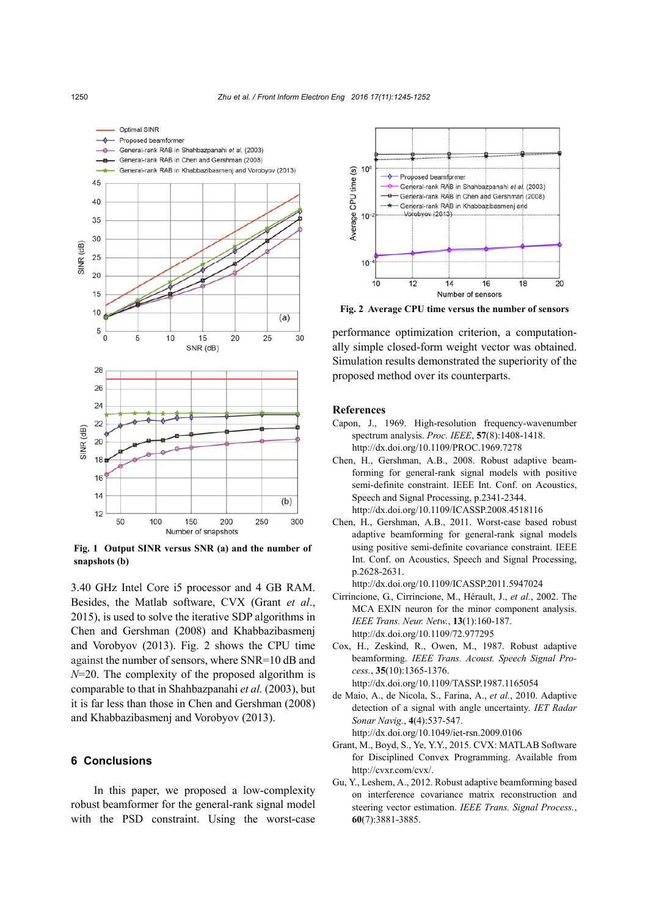

**Fig. 1 Output SINR versus SNR (a) and the number of snapshots (b)** 

3.40 GHz Intel Core i5 processor and 4 GB RAM. Besides, the Matlab software, CVX (Grant *et al*., 2015), is used to solve the iterative SDP algorithms in Chen and Gershman (2008) and Khabbazibasmenj and Vorobyov (2013). Fig. 2 shows the CPU time against the number of sensors, where SNR=10 dB and *N*=20. The complexity of the proposed algorithm is comparable to that in Shahbazpanahi *et al.* (2003), but it is far less than those in Chen and Gershman (2008) and Khabbazibasmenj and Vorobyov (2013).

# **6 Conclusions**

In this paper, we proposed a low-complexity robust beamformer for the general-rank signal model with the PSD constraint. Using the worst-case



**Fig. 2 Average CPU time versus the number of sensors**

performance optimization criterion, a computationally simple closed-form weight vector was obtained. Simulation results demonstrated the superiority of the proposed method over its counterparts.

#### **References**

- Capon, J., 1969. High-resolution frequency-wavenumber spectrum analysis. *Proc. IEEE*, **57**(8):1408-1418. http://dx.doi.org/10.1109/PROC.1969.7278
- Chen, H., Gershman, A.B., 2008. Robust adaptive beamforming for general-rank signal models with positive semi-definite constraint. IEEE Int. Conf. on Acoustics, Speech and Signal Processing, p.2341-2344. http://dx.doi.org/10.1109/ICASSP.2008.4518116
- Chen, H., Gershman, A.B., 2011. Worst-case based robust adaptive beamforming for general-rank signal models using positive semi-definite covariance constraint. IEEE Int. Conf. on Acoustics, Speech and Signal Processing, p.2628-2631.

http://dx.doi.org/10.1109/ICASSP.2011.5947024

- Cirrincione, G., Cirrincione, M., Hérault, J., *et al.*, 2002. The MCA EXIN neuron for the minor component analysis. *IEEE Trans. Neur. Netw.*, **13**(1):160-187. http://dx.doi.org/10.1109/72.977295
- Cox, H., Zeskind, R., Owen, M., 1987. Robust adaptive beamforming. *IEEE Trans. Acoust. Speech Signal Process.*, **35**(10):1365-1376. http://dx.doi.org/10.1109/TASSP.1987.1165054
- de Maio, A., de Nicola, S., Farina, A., *et al.*, 2010. Adaptive detection of a signal with angle uncertainty. *IET Radar Sonar Navig.*, **4**(4):537-547. http://dx.doi.org/10.1049/iet-rsn.2009.0106
- Grant, M., Boyd, S., Ye, Y.Y., 2015. CVX: MATLAB Software for Disciplined Convex Programming. Available from http://cvxr.com/cvx/.
- Gu, Y., Leshem, A., 2012. Robust adaptive beamforming based on interference covariance matrix reconstruction and steering vector estimation. *IEEE Trans. Signal Process.*, **60**(7):3881-3885.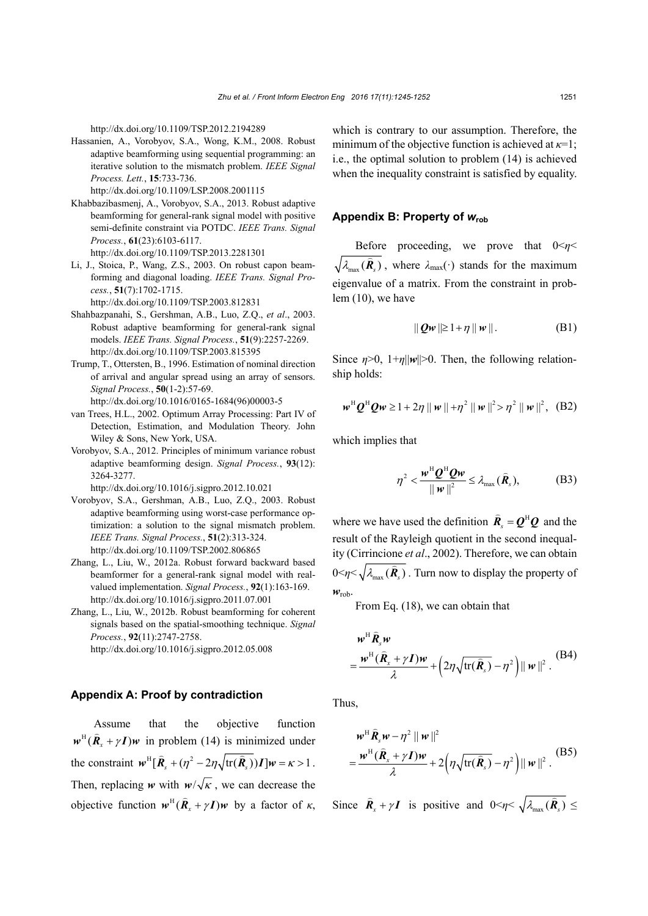http://dx.doi.org/10.1109/TSP.2012.2194289

Hassanien, A., Vorobyov, S.A., Wong, K.M., 2008. Robust adaptive beamforming using sequential programming: an iterative solution to the mismatch problem. *IEEE Signal Process. Lett.*, **15**:733-736.

http://dx.doi.org/10.1109/LSP.2008.2001115

- Khabbazibasmenj, A., Vorobyov, S.A., 2013. Robust adaptive beamforming for general-rank signal model with positive semi-definite constraint via POTDC. *IEEE Trans. Signal Process.*, **61**(23):6103-6117. http://dx.doi.org/10.1109/TSP.2013.2281301
- Li, J., Stoica, P., Wang, Z.S., 2003. On robust capon beamforming and diagonal loading. *IEEE Trans. Signal Process.*, **51**(7):1702-1715.

http://dx.doi.org/10.1109/TSP.2003.812831

- Shahbazpanahi, S., Gershman, A.B., Luo, Z.Q., *et al*., 2003. Robust adaptive beamforming for general-rank signal models. *IEEE Trans. Signal Process.*, **51**(9):2257-2269. http://dx.doi.org/10.1109/TSP.2003.815395
- Trump, T., Ottersten, B., 1996. Estimation of nominal direction of arrival and angular spread using an array of sensors. *Signal Process.*, **50**(1-2):57-69. http://dx.doi.org/10.1016/0165-1684(96)00003-5
- van Trees, H.L., 2002. Optimum Array Processing: Part IV of Detection, Estimation, and Modulation Theory. John Wiley & Sons, New York, USA.
- Vorobyov, S.A., 2012. Principles of minimum variance robust adaptive beamforming design. *Signal Process.*, **93**(12): 3264-3277.

http://dx.doi.org/10.1016/j.sigpro.2012.10.021

- Vorobyov, S.A., Gershman, A.B., Luo, Z.Q., 2003. Robust adaptive beamforming using worst-case performance optimization: a solution to the signal mismatch problem. *IEEE Trans. Signal Process.*, **51**(2):313-324. http://dx.doi.org/10.1109/TSP.2002.806865
- Zhang, L., Liu, W., 2012a. Robust forward backward based beamformer for a general-rank signal model with realvalued implementation. *Signal Process.*, **92**(1):163-169. http://dx.doi.org/10.1016/j.sigpro.2011.07.001
- Zhang, L., Liu, W., 2012b. Robust beamforming for coherent signals based on the spatial-smoothing technique. *Signal Process.*, **92**(11):2747-2758. http://dx.doi.org/10.1016/j.sigpro.2012.05.008

#### **Appendix A: Proof by contradiction**

Assume that the objective function  $w^H$  $(\hat{R}_{r} + \gamma I)w$  in problem (14) is minimized under the constraint  $\mathbf{w}^H [\hat{\mathbf{R}}_{s} + (\eta^2 - 2\eta \sqrt{\text{tr}(\hat{\mathbf{R}}_{s})}) \mathbf{I}] \mathbf{w} = \kappa > 1$ . Then, replacing *w* with  $w/\sqrt{k}$ , we can decrease the objective function  $w^H$   $(\hat{R}_x + \gamma I)w$  by a factor of  $\kappa$ , which is contrary to our assumption. Therefore, the minimum of the objective function is achieved at *κ*=1; i.e., the optimal solution to problem (14) is achieved when the inequality constraint is satisfied by equality.

## **Appendix B: Property of** *w***rob**

Before proceeding, we prove that  $0 \le \eta \le$  $\overline{\lambda_{\max}(\hat{\mathbf{R}})}$ , where  $\lambda_{\max}(\cdot)$  stands for the maximum eigenvalue of a matrix. From the constraint in problem (10), we have

$$
\|\mathbf{Qw}\|\geq 1+\eta\|\mathbf{w}\|.\tag{B1}
$$

Since  $\eta > 0$ ,  $1 + \eta \|\mathbf{w}\| > 0$ . Then, the following relationship holds:

$$
w^H Q^H Q w \ge 1 + 2\eta \| w \| + \eta^2 \| w \|^2 > \eta^2 \| w \|^2
$$
, (B2)

which implies that

$$
\eta^2 < \frac{\mathbf{w}^{\mathrm{H}} \mathbf{Q}^{\mathrm{H}} \mathbf{Q} \mathbf{w}}{\|\mathbf{w}\|^2} \leq \lambda_{\max}(\hat{\mathbf{R}}_s),\tag{B3}
$$

where we have used the definition  $\hat{\mathbf{R}}_s = \mathbf{Q}^H \mathbf{Q}$  and the result of the Rayleigh quotient in the second inequality (Cirrincione *et al*., 2002). Therefore, we can obtain  $0 \le \eta \le \sqrt{\lambda_{\max}(\hat{\mathbf{R}}_s)}$ . Turn now to display the property of *w*rob.

From Eq. (18), we can obtain that

$$
\boldsymbol{w}^{\mathrm{H}} \hat{\boldsymbol{R}}_{s} \boldsymbol{w}
$$
  
= 
$$
\frac{\boldsymbol{w}^{\mathrm{H}} (\hat{\boldsymbol{R}}_{x} + \gamma \boldsymbol{I}) \boldsymbol{w}}{\lambda} + (2\eta \sqrt{\mathrm{tr}(\hat{\boldsymbol{R}}_{s})} - \eta^{2}) || \boldsymbol{w} ||^{2}.
$$
 (B4)

Thus,

$$
\boldsymbol{w}^{\mathrm{H}} \hat{\boldsymbol{R}}_s \boldsymbol{w} - \eta^2 \|\boldsymbol{w}\|^2
$$
  
= 
$$
\frac{\boldsymbol{w}^{\mathrm{H}} (\hat{\boldsymbol{R}}_x + \gamma \boldsymbol{I}) \boldsymbol{w}}{\lambda} + 2 \Big( \eta \sqrt{\mathrm{tr}(\hat{\boldsymbol{R}}_s)} - \eta^2 \Big) \|\boldsymbol{w}\|^2.
$$
 (B5)

Since  $\hat{\mathbf{R}}_x + \gamma \mathbf{I}$  is positive and  $0 \le \eta \le \sqrt{\lambda_{\text{max}}(\hat{\mathbf{R}}_s)} \le$